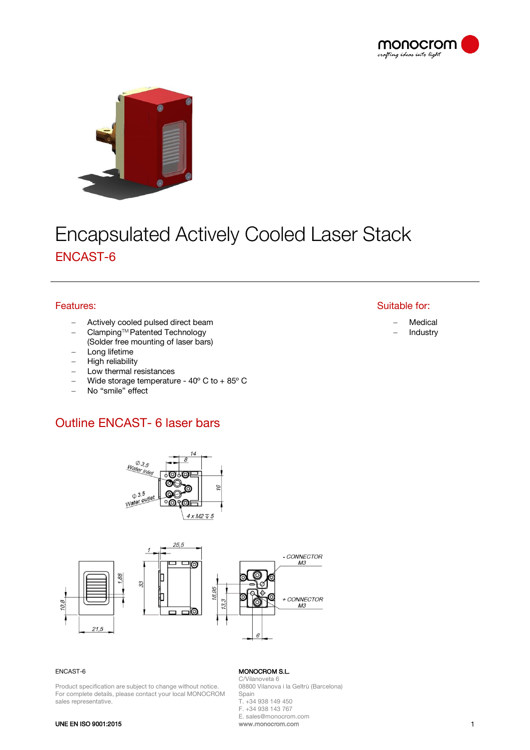



# **Encapsulated Actively Cooled Laser Stack** ENCAST-6

# Features:

- Actively cooled pulsed direct beam
- − ClampingTM Patented Technology
- (Solder free mounting of laser bars)
- Long lifetime
- High reliability
- Low thermal resistances
- − Wide storage temperature 40º C to + 85º C
- − No "smile" effect

# Outline ENCAST- 6 laser bars





### ENCAST-6

Product specification are subject to change without notice. For complete details, please contact your local MONOCROM sales representative.

## MONOCROM S.L.

C/Vilanoveta 6 08800 Vilanova i la Geltrù (Barcelona) Spain T. +34 938 149 450 F. +34 938 143 767 E. sales@monocrom.com

#### UNE EN ISO 9001:2015

# Suitable for:

- − Medical
- − Industry